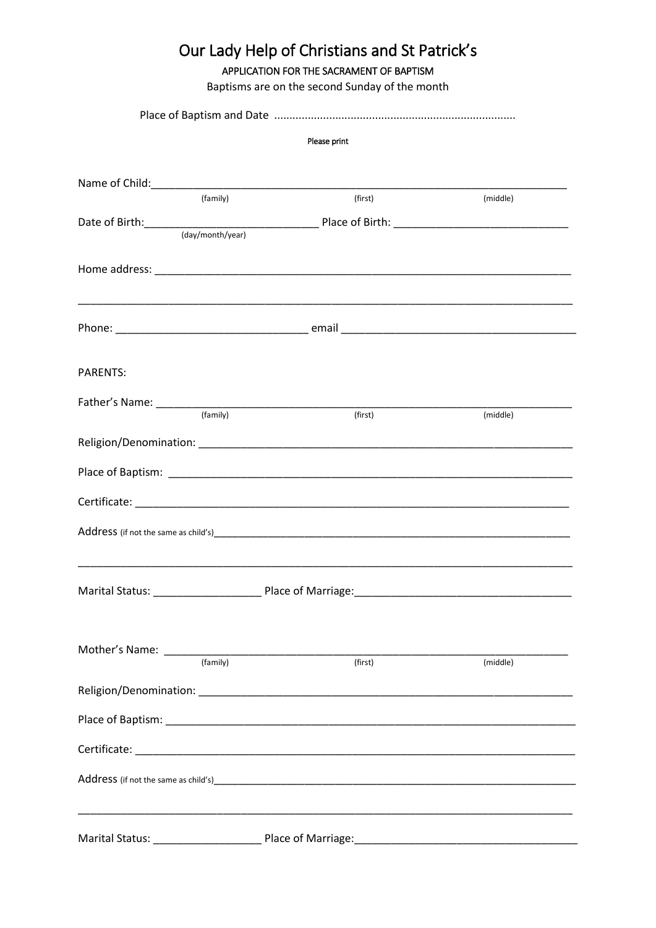| Our Lady Help of Christians and St Patrick's<br>APPLICATION FOR THE SACRAMENT OF BAPTISM<br>Baptisms are on the second Sunday of the month |              |         |                                                                                                                                                                                                                                |  |  |
|--------------------------------------------------------------------------------------------------------------------------------------------|--------------|---------|--------------------------------------------------------------------------------------------------------------------------------------------------------------------------------------------------------------------------------|--|--|
|                                                                                                                                            |              |         |                                                                                                                                                                                                                                |  |  |
|                                                                                                                                            | Please print |         |                                                                                                                                                                                                                                |  |  |
|                                                                                                                                            |              |         |                                                                                                                                                                                                                                |  |  |
|                                                                                                                                            |              |         |                                                                                                                                                                                                                                |  |  |
|                                                                                                                                            | (family)     | (first) | (middle)                                                                                                                                                                                                                       |  |  |
|                                                                                                                                            |              |         | Date of Birth: (day/month/year)<br>(day/month/year)                                                                                                                                                                            |  |  |
|                                                                                                                                            |              |         |                                                                                                                                                                                                                                |  |  |
|                                                                                                                                            |              |         |                                                                                                                                                                                                                                |  |  |
|                                                                                                                                            |              |         |                                                                                                                                                                                                                                |  |  |
|                                                                                                                                            |              |         |                                                                                                                                                                                                                                |  |  |
|                                                                                                                                            |              |         |                                                                                                                                                                                                                                |  |  |
| <b>PARENTS:</b>                                                                                                                            |              |         |                                                                                                                                                                                                                                |  |  |
|                                                                                                                                            |              | (first) | (middle)                                                                                                                                                                                                                       |  |  |
|                                                                                                                                            |              |         |                                                                                                                                                                                                                                |  |  |
|                                                                                                                                            |              |         |                                                                                                                                                                                                                                |  |  |
|                                                                                                                                            |              |         | Place of Baptism: Note that the second contract of the second contract of the second contract of the second contract of the second contract of the second contract of the second contract of the second contract of the second |  |  |
|                                                                                                                                            |              |         |                                                                                                                                                                                                                                |  |  |
| Address (if not the same as child's)                                                                                                       |              |         |                                                                                                                                                                                                                                |  |  |
|                                                                                                                                            |              |         |                                                                                                                                                                                                                                |  |  |
|                                                                                                                                            |              |         |                                                                                                                                                                                                                                |  |  |
|                                                                                                                                            |              |         |                                                                                                                                                                                                                                |  |  |
|                                                                                                                                            |              |         |                                                                                                                                                                                                                                |  |  |
|                                                                                                                                            |              | (first) | (middle)                                                                                                                                                                                                                       |  |  |
|                                                                                                                                            |              |         |                                                                                                                                                                                                                                |  |  |
|                                                                                                                                            |              |         |                                                                                                                                                                                                                                |  |  |
|                                                                                                                                            |              |         |                                                                                                                                                                                                                                |  |  |
|                                                                                                                                            |              |         |                                                                                                                                                                                                                                |  |  |
|                                                                                                                                            |              |         |                                                                                                                                                                                                                                |  |  |
|                                                                                                                                            |              |         |                                                                                                                                                                                                                                |  |  |
|                                                                                                                                            |              |         |                                                                                                                                                                                                                                |  |  |